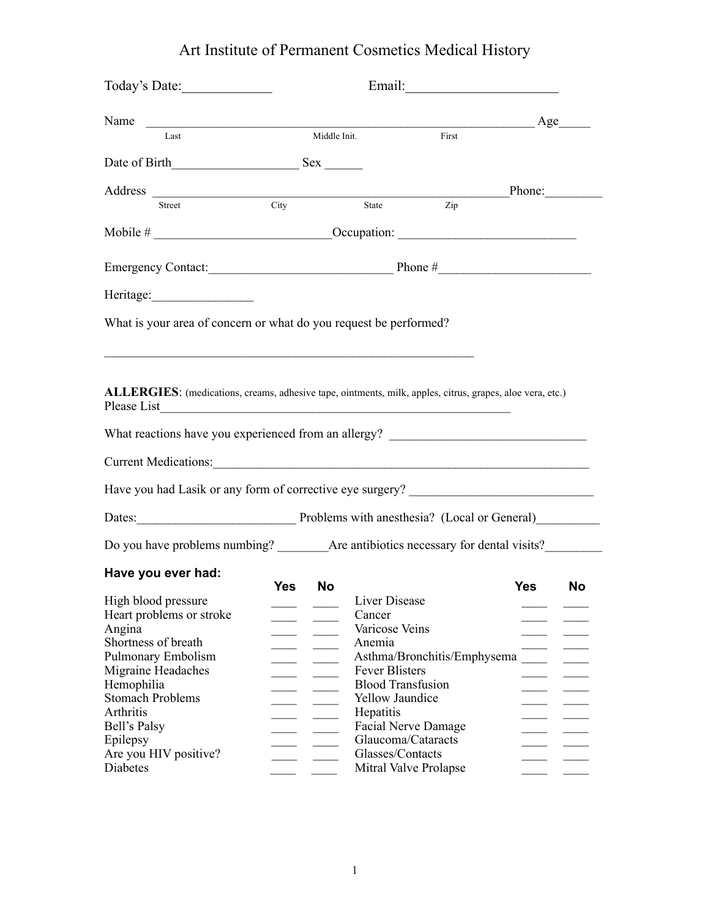## Art Institute of Permanent Cosmetics Medical History

| Today's Date:                                                                                                                                                                                                 |                         |                                                                                                                        |                  |
|---------------------------------------------------------------------------------------------------------------------------------------------------------------------------------------------------------------|-------------------------|------------------------------------------------------------------------------------------------------------------------|------------------|
| Name                                                                                                                                                                                                          |                         |                                                                                                                        | Age              |
| Last                                                                                                                                                                                                          | Middle Init.            | First                                                                                                                  |                  |
|                                                                                                                                                                                                               |                         |                                                                                                                        |                  |
| Address                                                                                                                                                                                                       |                         |                                                                                                                        | $Phone:\_$       |
| Street                                                                                                                                                                                                        | City                    | Zip<br>State                                                                                                           |                  |
|                                                                                                                                                                                                               |                         |                                                                                                                        |                  |
| Emergency Contact: Phone #                                                                                                                                                                                    |                         |                                                                                                                        |                  |
|                                                                                                                                                                                                               |                         |                                                                                                                        |                  |
| What is your area of concern or what do you request be performed?                                                                                                                                             |                         |                                                                                                                        |                  |
| ALLERGIES: (medications, creams, adhesive tape, ointments, milk, apples, citrus, grapes, aloe vera, etc.)<br>Please List<br>What reactions have you experienced from an allergy? ____________________________ |                         | <u> 1988 - Johann Stoff, deutscher Stoffen und der Stoffen und der Stoffen und der Stoffen und der Stoffen und der</u> |                  |
|                                                                                                                                                                                                               |                         |                                                                                                                        |                  |
| Current Medications:                                                                                                                                                                                          |                         |                                                                                                                        |                  |
| Have you had Lasik or any form of corrective eye surgery? _______________________                                                                                                                             |                         |                                                                                                                        |                  |
| Dates: Problems with anesthesia? (Local or General)                                                                                                                                                           |                         |                                                                                                                        |                  |
|                                                                                                                                                                                                               |                         |                                                                                                                        |                  |
| Have you ever had:                                                                                                                                                                                            |                         |                                                                                                                        |                  |
| High blood pressure                                                                                                                                                                                           | <b>Yes</b><br><b>No</b> | Liver Disease                                                                                                          | <b>Yes</b><br>No |
| Heart problems or stroke                                                                                                                                                                                      |                         | Cancer                                                                                                                 |                  |
| Angina                                                                                                                                                                                                        |                         | Varicose Veins                                                                                                         |                  |
| Shortness of breath                                                                                                                                                                                           |                         | Anemia                                                                                                                 |                  |
| Pulmonary Embolism                                                                                                                                                                                            |                         | Asthma/Bronchitis/Emphysema                                                                                            |                  |
| Migraine Headaches                                                                                                                                                                                            |                         | <b>Fever Blisters</b>                                                                                                  |                  |
| Hemophilia                                                                                                                                                                                                    |                         |                                                                                                                        |                  |
| <b>Stomach Problems</b>                                                                                                                                                                                       |                         | <b>Blood Transfusion</b>                                                                                               |                  |
|                                                                                                                                                                                                               |                         | <b>Yellow Jaundice</b>                                                                                                 |                  |
|                                                                                                                                                                                                               |                         |                                                                                                                        |                  |
| Arthritis                                                                                                                                                                                                     |                         | Hepatitis                                                                                                              |                  |
| Bell's Palsy                                                                                                                                                                                                  |                         | <b>Facial Nerve Damage</b>                                                                                             |                  |
| Epilepsy<br>Are you HIV positive?                                                                                                                                                                             |                         | Glaucoma/Cataracts<br>Glasses/Contacts                                                                                 |                  |